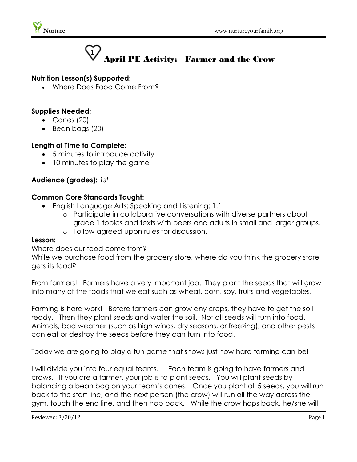



# **Nutrition Lesson(s) Supported:**

Where Does Food Come From?

## **Supplies Needed:**

- Cones (20)
- $\bullet$  Bean bags (20)

## **Length of Time to Complete:**

- 5 minutes to introduce activity
- 10 minutes to play the game

# **Audience (grades):** *1st*

## **Common Core Standards Taught:**

- English Language Arts: Speaking and Listening: 1.1
	- o Participate in collaborative conversations with diverse partners about grade 1 topics and texts with peers and adults in small and larger groups.
	- o Follow agreed-upon rules for discussion.

#### **Lesson:**

## Where does our food come from?

While we purchase food from the grocery store, where do you think the grocery store gets its food?

From farmers! Farmers have a very important job. They plant the seeds that will grow into many of the foods that we eat such as wheat, corn, soy, fruits and vegetables.

Farming is hard work! Before farmers can grow any crops, they have to get the soil ready. Then they plant seeds and water the soil. Not all seeds will turn into food. Animals, bad weather (such as high winds, dry seasons, or freezing), and other pests can eat or destroy the seeds before they can turn into food.

Today we are going to play a fun game that shows just how hard farming can be!

I will divide you into four equal teams. Each team is going to have farmers and crows. If you are a farmer, your job is to plant seeds. You will plant seeds by balancing a bean bag on your team's cones. Once you plant all 5 seeds, you will run back to the start line, and the next person (the crow) will run all the way across the gym, touch the end line, and then hop back. While the crow hops back, he/she will